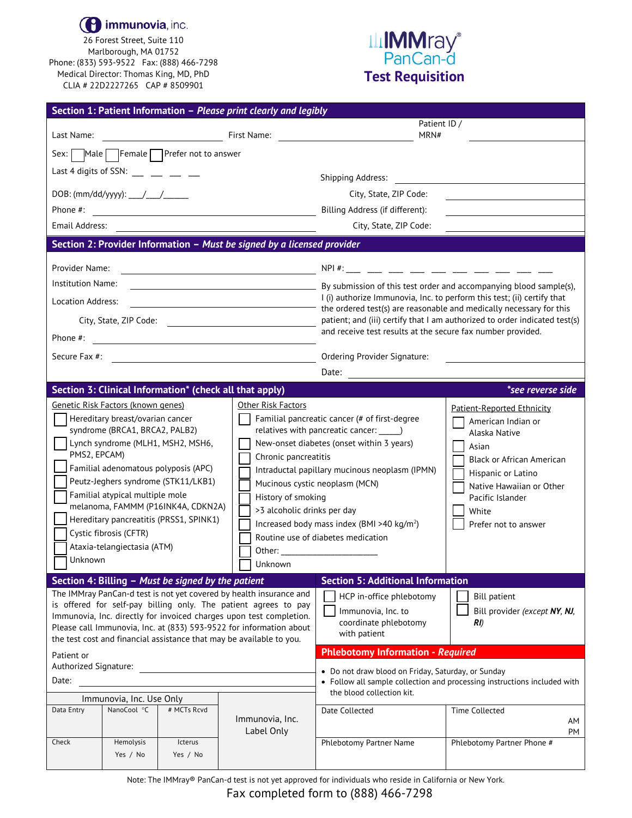

26 Forest Street, Suite 110 Marlborough, MA 01752 Phone: (833) 593-9522 Fax: (888) 466-7298 Medical Director: Thomas King, MD, PhD CLIA # 22D2227265 CAP # 8509901

## **ILIMMray®**<br>PanCan-d **Test Requisition**

|                                                                                                                                                                                                                                                                                                                                                                                                                                                 |                               |                                               | Section 1: Patient Information - Please print clearly and legibly         |                                                                                                                                                                                                                                                                                |                                                                                                                                                                                                                       |  |  |
|-------------------------------------------------------------------------------------------------------------------------------------------------------------------------------------------------------------------------------------------------------------------------------------------------------------------------------------------------------------------------------------------------------------------------------------------------|-------------------------------|-----------------------------------------------|---------------------------------------------------------------------------|--------------------------------------------------------------------------------------------------------------------------------------------------------------------------------------------------------------------------------------------------------------------------------|-----------------------------------------------------------------------------------------------------------------------------------------------------------------------------------------------------------------------|--|--|
| Last Name:                                                                                                                                                                                                                                                                                                                                                                                                                                      | <b>Example 18 First Name:</b> |                                               |                                                                           | Patient ID /<br>MRN#                                                                                                                                                                                                                                                           |                                                                                                                                                                                                                       |  |  |
| Sex:                                                                                                                                                                                                                                                                                                                                                                                                                                            |                               | $\mathbb{R}$ Male Female Prefer not to answer |                                                                           |                                                                                                                                                                                                                                                                                |                                                                                                                                                                                                                       |  |  |
| Last 4 digits of SSN: $\_\_$ $\_\_$                                                                                                                                                                                                                                                                                                                                                                                                             |                               |                                               |                                                                           |                                                                                                                                                                                                                                                                                |                                                                                                                                                                                                                       |  |  |
|                                                                                                                                                                                                                                                                                                                                                                                                                                                 |                               |                                               |                                                                           | <b>Shipping Address:</b>                                                                                                                                                                                                                                                       |                                                                                                                                                                                                                       |  |  |
|                                                                                                                                                                                                                                                                                                                                                                                                                                                 |                               |                                               |                                                                           | City, State, ZIP Code:                                                                                                                                                                                                                                                         |                                                                                                                                                                                                                       |  |  |
| Phone #:                                                                                                                                                                                                                                                                                                                                                                                                                                        |                               |                                               |                                                                           | Billing Address (if different):                                                                                                                                                                                                                                                |                                                                                                                                                                                                                       |  |  |
| Email Address:                                                                                                                                                                                                                                                                                                                                                                                                                                  |                               |                                               |                                                                           | City, State, ZIP Code:                                                                                                                                                                                                                                                         |                                                                                                                                                                                                                       |  |  |
| Section 2: Provider Information - Must be signed by a licensed provider                                                                                                                                                                                                                                                                                                                                                                         |                               |                                               |                                                                           |                                                                                                                                                                                                                                                                                |                                                                                                                                                                                                                       |  |  |
| Provider Name:                                                                                                                                                                                                                                                                                                                                                                                                                                  |                               |                                               |                                                                           |                                                                                                                                                                                                                                                                                |                                                                                                                                                                                                                       |  |  |
| <b>Institution Name:</b>                                                                                                                                                                                                                                                                                                                                                                                                                        |                               |                                               |                                                                           | By submission of this test order and accompanying blood sample(s), By submission of this test order and accompanying blood sample(s),<br>I (i) authorize Immunovia, Inc. to perform this test; (ii) certify that                                                               |                                                                                                                                                                                                                       |  |  |
| Location Address:                                                                                                                                                                                                                                                                                                                                                                                                                               |                               |                                               |                                                                           |                                                                                                                                                                                                                                                                                |                                                                                                                                                                                                                       |  |  |
| City, State, ZIP Code:                                                                                                                                                                                                                                                                                                                                                                                                                          |                               |                                               |                                                                           | $\overrightarrow{ }$ the ordered test(s) are reasonable and medically necessary for this<br>patient; and (iii) certify that I am authorized to order indicated test(s)                                                                                                         |                                                                                                                                                                                                                       |  |  |
| Phone #:                                                                                                                                                                                                                                                                                                                                                                                                                                        |                               |                                               |                                                                           | and receive test results at the secure fax number provided.                                                                                                                                                                                                                    |                                                                                                                                                                                                                       |  |  |
| <u> 1989 - Andrea Station Barbara, amerikan per</u>                                                                                                                                                                                                                                                                                                                                                                                             |                               |                                               |                                                                           |                                                                                                                                                                                                                                                                                |                                                                                                                                                                                                                       |  |  |
| Secure Fax #:<br><u> 1980 - Johann Barbara, martin a</u>                                                                                                                                                                                                                                                                                                                                                                                        |                               |                                               |                                                                           | Ordering Provider Signature:                                                                                                                                                                                                                                                   |                                                                                                                                                                                                                       |  |  |
| Date: and the state of the state of the state of the state of the state of the state of the state of the state of the state of the state of the state of the state of the state of the state of the state of the state of the<br>Section 3: Clinical Information* (check all that apply)                                                                                                                                                        |                               |                                               |                                                                           |                                                                                                                                                                                                                                                                                |                                                                                                                                                                                                                       |  |  |
|                                                                                                                                                                                                                                                                                                                                                                                                                                                 |                               |                                               | Other Risk Factors                                                        |                                                                                                                                                                                                                                                                                | *see reverse side                                                                                                                                                                                                     |  |  |
| Genetic Risk Factors (known genes)<br>Hereditary breast/ovarian cancer<br>syndrome (BRCA1, BRCA2, PALB2)<br>Lynch syndrome (MLH1, MSH2, MSH6,<br>PMS2, EPCAM)<br>Familial adenomatous polyposis (APC)<br>Peutz-Jeghers syndrome (STK11/LKB1)<br>Familial atypical multiple mole<br>melanoma, FAMMM (P16INK4A, CDKN2A)<br>Hereditary pancreatitis (PRSS1, SPINK1)<br>Cystic fibrosis (CFTR)<br>Ataxia-telangiectasia (ATM)<br>Unknown<br>Unknown |                               |                                               | Chronic pancreatitis<br>History of smoking<br>>3 alcoholic drinks per day | Familial pancreatic cancer (# of first-degree<br>New-onset diabetes (onset within 3 years)<br>Intraductal papillary mucinous neoplasm (IPMN)<br>Mucinous cystic neoplasm (MCN)<br>Increased body mass index (BMI >40 kg/m <sup>2</sup> )<br>Routine use of diabetes medication | Patient-Reported Ethnicity<br>American Indian or<br>Alaska Native<br>Asian<br><b>Black or African American</b><br>Hispanic or Latino<br>Native Hawaiian or Other<br>Pacific Islander<br>White<br>Prefer not to answer |  |  |
| Section 4: Billing - Must be signed by the patient                                                                                                                                                                                                                                                                                                                                                                                              |                               |                                               |                                                                           | <b>Section 5: Additional Information</b>                                                                                                                                                                                                                                       |                                                                                                                                                                                                                       |  |  |
| The IMMray PanCan-d test is not yet covered by health insurance and<br>is offered for self-pay billing only. The patient agrees to pay<br>Immunovia, Inc. directly for invoiced charges upon test completion.<br>Please call Immunovia, Inc. at (833) 593-9522 for information about<br>the test cost and financial assistance that may be available to you.                                                                                    |                               |                                               |                                                                           | HCP in-office phlebotomy<br>Immunovia, Inc. to<br>coordinate phlebotomy<br>with patient                                                                                                                                                                                        | <b>Bill patient</b><br>Bill provider (except NY, NJ,<br>RI)                                                                                                                                                           |  |  |
| Patient or                                                                                                                                                                                                                                                                                                                                                                                                                                      |                               |                                               |                                                                           | <b>Phlebotomy Information - Required</b>                                                                                                                                                                                                                                       |                                                                                                                                                                                                                       |  |  |
| Authorized Signature: Authorized Signature:<br>Date:<br>Immunovia, Inc. Use Only                                                                                                                                                                                                                                                                                                                                                                |                               |                                               |                                                                           | • Do not draw blood on Friday, Saturday, or Sunday<br>• Follow all sample collection and processing instructions included with<br>the blood collection kit.                                                                                                                    |                                                                                                                                                                                                                       |  |  |
| Data Entry                                                                                                                                                                                                                                                                                                                                                                                                                                      | NanoCool °C                   | # MCTs Rcvd                                   | Immunovia, Inc.<br>Label Only                                             | Date Collected                                                                                                                                                                                                                                                                 | Time Collected<br>AM<br>PM                                                                                                                                                                                            |  |  |
| Check                                                                                                                                                                                                                                                                                                                                                                                                                                           | Hemolysis<br>Yes / No         | Icterus<br>Yes / No                           |                                                                           | Phlebotomy Partner Name                                                                                                                                                                                                                                                        | Phlebotomy Partner Phone #                                                                                                                                                                                            |  |  |

Note: The IMMray® PanCan-d test is not yet approved for individuals who reside in California or New York.